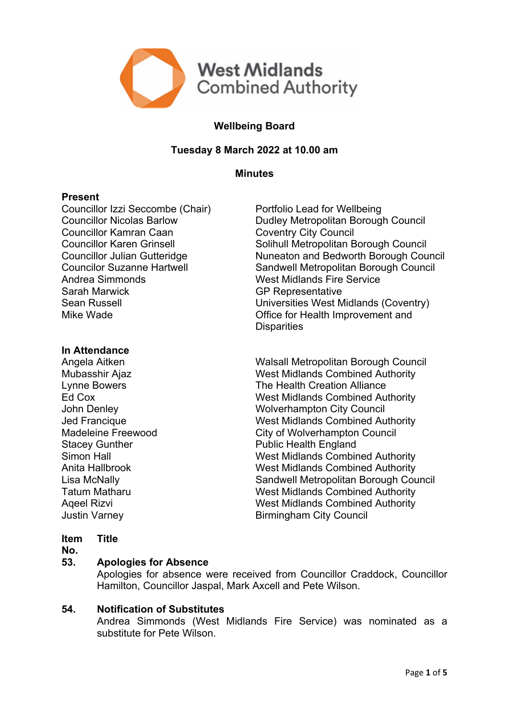

# **Wellbeing Board**

# **Tuesday 8 March 2022 at 10.00 am**

## **Minutes**

### **Present**

Councillor Izzi Seccombe (Chair) Portfolio Lead for Wellbeing Councillor Kamran Caan Coventry City Council Andrea Simmonds West Midlands Fire Service Sarah Marwick GP Representative

#### **In Attendance**

Dudley Metropolitan Borough Council Councillor Karen Grinsell **Solihull Metropolitan Borough Council** Councillor Julian Gutteridge Nuneaton and Bedworth Borough Council Councilor Suzanne Hartwell **Sandwell Metropolitan Borough Council** Sean Russell Universities West Midlands (Coventry) Mike Wade Office for Health Improvement and **Disparities** 

Angela Aitken Walsall Metropolitan Borough Council Mubasshir Ajaz West Midlands Combined Authority Lynne Bowers The Health Creation Alliance Ed Cox West Midlands Combined Authority John Denley Wolverhampton City Council Jed Francique West Midlands Combined Authority Madeleine Freewood **City of Wolverhampton Council** Stacey Gunther **Public Health England** Simon Hall **Simon Hall** Simon Hall **West Midlands Combined Authority** Anita Hallbrook West Midlands Combined Authority Lisa McNally Sandwell Metropolitan Borough Council Tatum Matharu West Midlands Combined Authority Ageel Rizvi **Nest Midlands Combined Authority** Justin Varney Birmingham City Council

#### **Item Title**

### **No.**

# **53. Apologies for Absence**

Apologies for absence were received from Councillor Craddock, Councillor Hamilton, Councillor Jaspal, Mark Axcell and Pete Wilson.

### **54. Notification of Substitutes**

Andrea Simmonds (West Midlands Fire Service) was nominated as a substitute for Pete Wilson.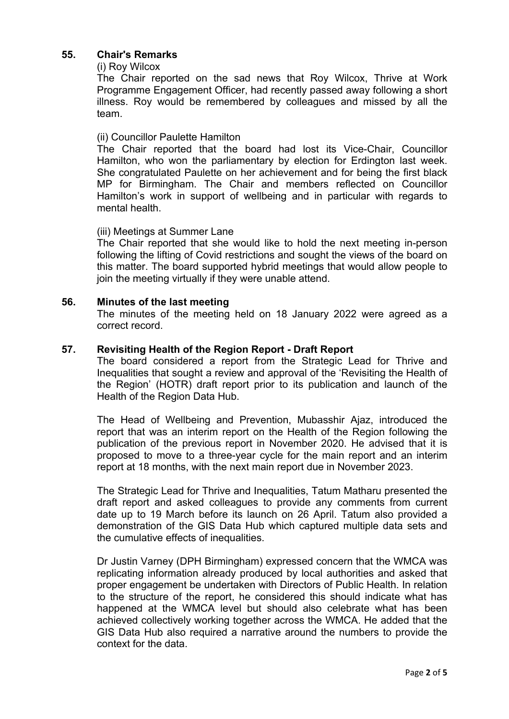# **55. Chair's Remarks**

#### (i) Roy Wilcox

The Chair reported on the sad news that Roy Wilcox, Thrive at Work Programme Engagement Officer, had recently passed away following a short illness. Roy would be remembered by colleagues and missed by all the team.

## (ii) Councillor Paulette Hamilton

The Chair reported that the board had lost its Vice-Chair, Councillor Hamilton, who won the parliamentary by election for Erdington last week. She congratulated Paulette on her achievement and for being the first black MP for Birmingham. The Chair and members reflected on Councillor Hamilton's work in support of wellbeing and in particular with regards to mental health.

# (iii) Meetings at Summer Lane

The Chair reported that she would like to hold the next meeting in-person following the lifting of Covid restrictions and sought the views of the board on this matter. The board supported hybrid meetings that would allow people to join the meeting virtually if they were unable attend.

### **56. Minutes of the last meeting**

The minutes of the meeting held on 18 January 2022 were agreed as a correct record.

# **57. Revisiting Health of the Region Report - Draft Report**

The board considered a report from the Strategic Lead for Thrive and Inequalities that sought a review and approval of the 'Revisiting the Health of the Region' (HOTR) draft report prior to its publication and launch of the Health of the Region Data Hub.

The Head of Wellbeing and Prevention, Mubasshir Ajaz, introduced the report that was an interim report on the Health of the Region following the publication of the previous report in November 2020. He advised that it is proposed to move to a three-year cycle for the main report and an interim report at 18 months, with the next main report due in November 2023.

The Strategic Lead for Thrive and Inequalities, Tatum Matharu presented the draft report and asked colleagues to provide any comments from current date up to 19 March before its launch on 26 April. Tatum also provided a demonstration of the GIS Data Hub which captured multiple data sets and the cumulative effects of inequalities.

Dr Justin Varney (DPH Birmingham) expressed concern that the WMCA was replicating information already produced by local authorities and asked that proper engagement be undertaken with Directors of Public Health. In relation to the structure of the report, he considered this should indicate what has happened at the WMCA level but should also celebrate what has been achieved collectively working together across the WMCA. He added that the GIS Data Hub also required a narrative around the numbers to provide the context for the data.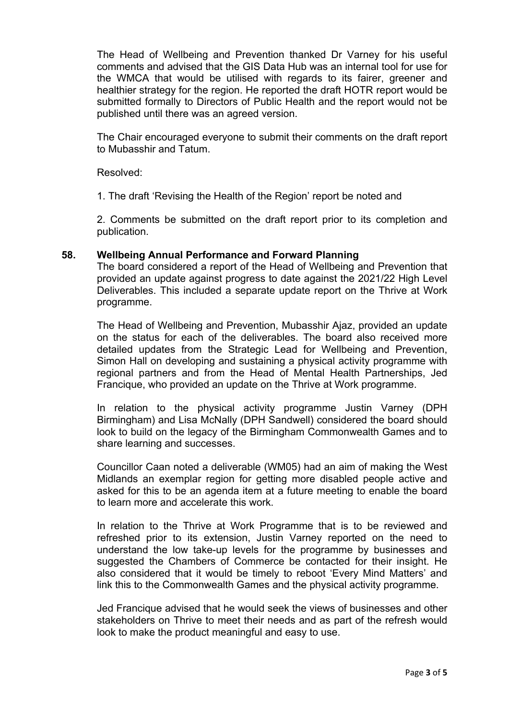The Head of Wellbeing and Prevention thanked Dr Varney for his useful comments and advised that the GIS Data Hub was an internal tool for use for the WMCA that would be utilised with regards to its fairer, greener and healthier strategy for the region. He reported the draft HOTR report would be submitted formally to Directors of Public Health and the report would not be published until there was an agreed version.

The Chair encouraged everyone to submit their comments on the draft report to Mubasshir and Tatum.

Resolved:

1. The draft 'Revising the Health of the Region' report be noted and

2. Comments be submitted on the draft report prior to its completion and publication.

### **58. Wellbeing Annual Performance and Forward Planning**

The board considered a report of the Head of Wellbeing and Prevention that provided an update against progress to date against the 2021/22 High Level Deliverables. This included a separate update report on the Thrive at Work programme.

The Head of Wellbeing and Prevention, Mubasshir Ajaz, provided an update on the status for each of the deliverables. The board also received more detailed updates from the Strategic Lead for Wellbeing and Prevention, Simon Hall on developing and sustaining a physical activity programme with regional partners and from the Head of Mental Health Partnerships, Jed Francique, who provided an update on the Thrive at Work programme.

In relation to the physical activity programme Justin Varney (DPH Birmingham) and Lisa McNally (DPH Sandwell) considered the board should look to build on the legacy of the Birmingham Commonwealth Games and to share learning and successes.

Councillor Caan noted a deliverable (WM05) had an aim of making the West Midlands an exemplar region for getting more disabled people active and asked for this to be an agenda item at a future meeting to enable the board to learn more and accelerate this work.

In relation to the Thrive at Work Programme that is to be reviewed and refreshed prior to its extension, Justin Varney reported on the need to understand the low take-up levels for the programme by businesses and suggested the Chambers of Commerce be contacted for their insight. He also considered that it would be timely to reboot 'Every Mind Matters' and link this to the Commonwealth Games and the physical activity programme.

Jed Francique advised that he would seek the views of businesses and other stakeholders on Thrive to meet their needs and as part of the refresh would look to make the product meaningful and easy to use.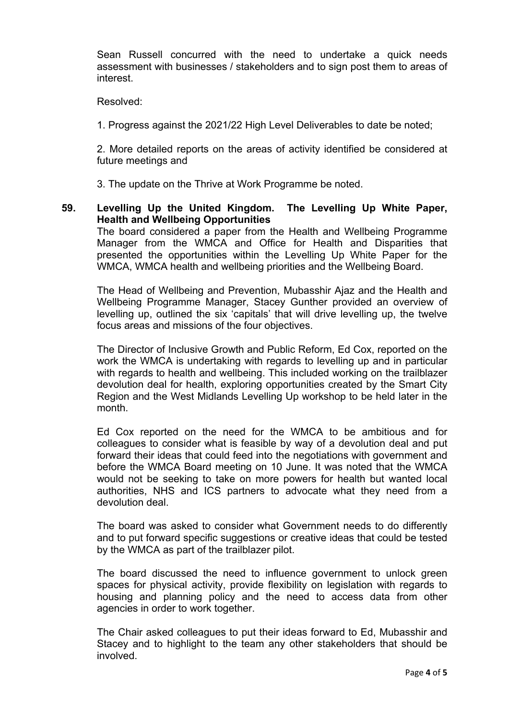Sean Russell concurred with the need to undertake a quick needs assessment with businesses / stakeholders and to sign post them to areas of interest.

Resolved:

1. Progress against the 2021/22 High Level Deliverables to date be noted;

2. More detailed reports on the areas of activity identified be considered at future meetings and

3. The update on the Thrive at Work Programme be noted.

# **59. Levelling Up the United Kingdom. The Levelling Up White Paper, Health and Wellbeing Opportunities**

The board considered a paper from the Health and Wellbeing Programme Manager from the WMCA and Office for Health and Disparities that presented the opportunities within the Levelling Up White Paper for the WMCA, WMCA health and wellbeing priorities and the Wellbeing Board.

The Head of Wellbeing and Prevention, Mubasshir Ajaz and the Health and Wellbeing Programme Manager, Stacey Gunther provided an overview of levelling up, outlined the six 'capitals' that will drive levelling up, the twelve focus areas and missions of the four objectives.

The Director of Inclusive Growth and Public Reform, Ed Cox, reported on the work the WMCA is undertaking with regards to levelling up and in particular with regards to health and wellbeing. This included working on the trailblazer devolution deal for health, exploring opportunities created by the Smart City Region and the West Midlands Levelling Up workshop to be held later in the month.

Ed Cox reported on the need for the WMCA to be ambitious and for colleagues to consider what is feasible by way of a devolution deal and put forward their ideas that could feed into the negotiations with government and before the WMCA Board meeting on 10 June. It was noted that the WMCA would not be seeking to take on more powers for health but wanted local authorities, NHS and ICS partners to advocate what they need from a devolution deal.

The board was asked to consider what Government needs to do differently and to put forward specific suggestions or creative ideas that could be tested by the WMCA as part of the trailblazer pilot.

The board discussed the need to influence government to unlock green spaces for physical activity, provide flexibility on legislation with regards to housing and planning policy and the need to access data from other agencies in order to work together.

The Chair asked colleagues to put their ideas forward to Ed, Mubasshir and Stacey and to highlight to the team any other stakeholders that should be involved.